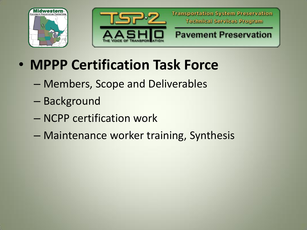



- **MPPP Certification Task Force**
	- Members, Scope and Deliverables
	- Background
	- NCPP certification work
	- Maintenance worker training, Synthesis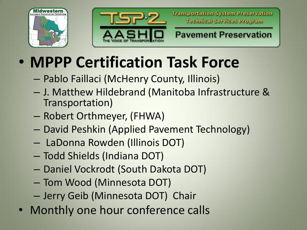



**Transportation System Preservation Technical Services Program** 

**Pavement Preservation** 

## • **MPPP Certification Task Force**

- Pablo Faillaci (McHenry County, Illinois)
- J. Matthew Hildebrand (Manitoba Infrastructure & Transportation)
- Robert Orthmeyer, (FHWA)
- David Peshkin (Applied Pavement Technology)
- LaDonna Rowden (Illinois DOT)
- Todd Shields (Indiana DOT)
- Daniel Vockrodt (South Dakota DOT)
- Tom Wood (Minnesota DOT)
- Jerry Geib (Minnesota DOT) Chair
- Monthly one hour conference calls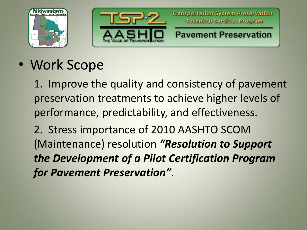



• Work Scope

1. Improve the quality and consistency of pavement preservation treatments to achieve higher levels of performance, predictability, and effectiveness.

2. Stress importance of 2010 AASHTO SCOM (Maintenance) resolution *"Resolution to Support the Development of a Pilot Certification Program for Pavement Preservation"*.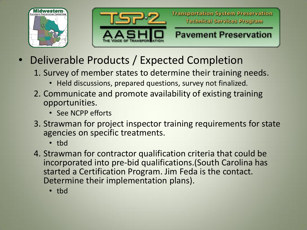



- Deliverable Products / Expected Completion
	- 1. Survey of member states to determine their training needs.
		- Held discussions, prepared questions, survey not finalized.
	- 2. Communicate and promote availability of existing training opportunities.
		- See NCPP efforts
	- 3. Strawman for project inspector training requirements for state agencies on specific treatments.
		- tbd
	- 4. Strawman for contractor qualification criteria that could be incorporated into pre-bid qualifications.(South Carolina has started a Certification Program. Jim Feda is the contact. Determine their implementation plans).
		- tbd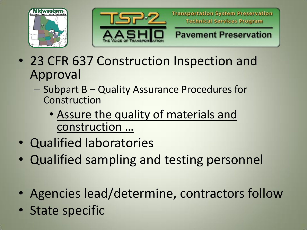



**Transportation System Preservation Technical Services Program** 

**Pavement Preservation** 

- 23 CFR 637 Construction Inspection and Approval
	- Subpart B Quality Assurance Procedures for Construction
		- Assure the quality of materials and construction …
- Qualified laboratories
- Qualified sampling and testing personnel
- Agencies lead/determine, contractors follow
- State specific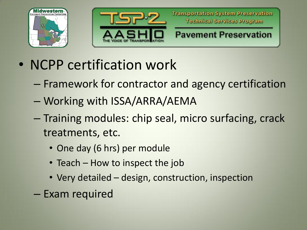



- NCPP certification work
	- Framework for contractor and agency certification
	- Working with ISSA/ARRA/AEMA
	- Training modules: chip seal, micro surfacing, crack treatments, etc.
		- One day (6 hrs) per module
		- Teach How to inspect the job
		- Very detailed design, construction, inspection
	- Exam required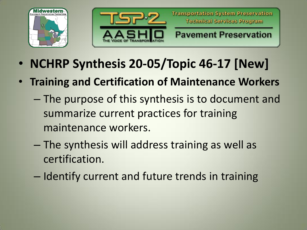



- **NCHRP Synthesis 20-05/Topic 46-17 [New]**
- **Training and Certification of Maintenance Workers**
	- The purpose of this synthesis is to document and summarize current practices for training maintenance workers.
	- The synthesis will address training as well as certification.
	- Identify current and future trends in training